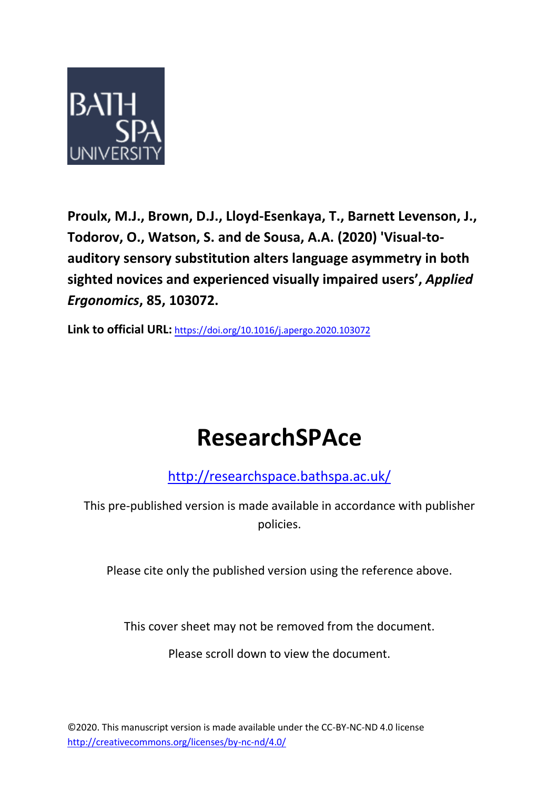

**Proulx, M.J., Brown, D.J., Lloyd-Esenkaya, T., Barnett Levenson, J., Todorov, O., Watson, S. and de Sousa, A.A. (2020) 'Visual-toauditory sensory substitution alters language asymmetry in both sighted novices and experienced visually impaired users' ,** *Applied Ergonomics***, 85, 103072.** 

**Link to official URL:** <https://doi.org/10.1016/j.apergo.2020.103072>

# **ResearchSPAce**

<http://researchspace.bathspa.ac.uk/>

This pre-published version is made available in accordance with publisher policies.

Please cite only the published version using the reference above.

This cover sheet may not be removed from the document.

Please scroll down to view the document.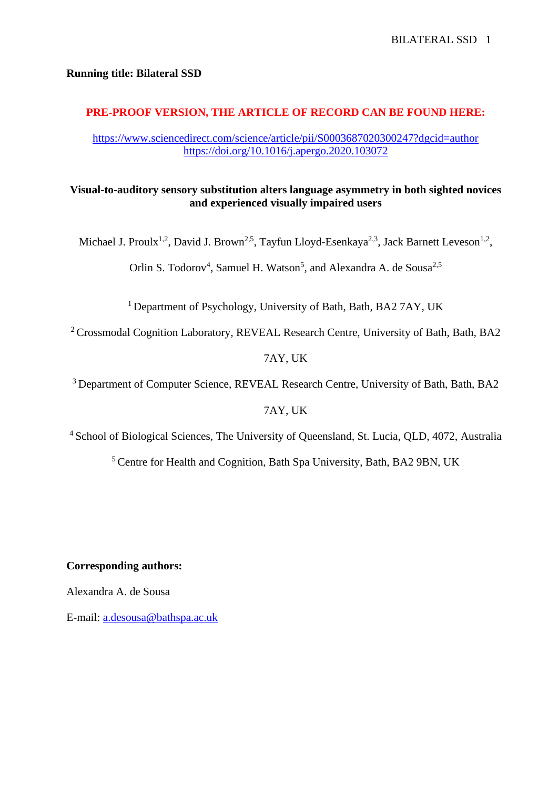## **Running title: Bilateral SSD**

# **PRE-PROOF VERSION, THE ARTICLE OF RECORD CAN BE FOUND HERE:**

<https://www.sciencedirect.com/science/article/pii/S0003687020300247?dgcid=author> <https://doi.org/10.1016/j.apergo.2020.103072>

# **Visual-to-auditory sensory substitution alters language asymmetry in both sighted novices and experienced visually impaired users**

Michael J. Proulx<sup>1,2</sup>, David J. Brown<sup>2,5</sup>, Tayfun Lloyd-Esenkaya<sup>2,3</sup>, Jack Barnett Leveson<sup>1,2</sup>,

Orlin S. Todorov<sup>4</sup>, Samuel H. Watson<sup>5</sup>, and Alexandra A. de Sousa<sup>2,5</sup>

<sup>1</sup> Department of Psychology, University of Bath, Bath, BA2 7AY, UK

<sup>2</sup> Crossmodal Cognition Laboratory, REVEAL Research Centre, University of Bath, Bath, BA2

7AY, UK

<sup>3</sup> Department of Computer Science, REVEAL Research Centre, University of Bath, Bath, BA2

# 7AY, UK

<sup>4</sup> School of Biological Sciences, The University of Queensland, St. Lucia, QLD, 4072, Australia

<sup>5</sup> Centre for Health and Cognition, Bath Spa University, Bath, BA2 9BN, UK

# **Corresponding authors:**

Alexandra A. de Sousa

E-mail: [a.desousa@bathspa.ac.uk](mailto:a.desousa@bathspa.ac.uk)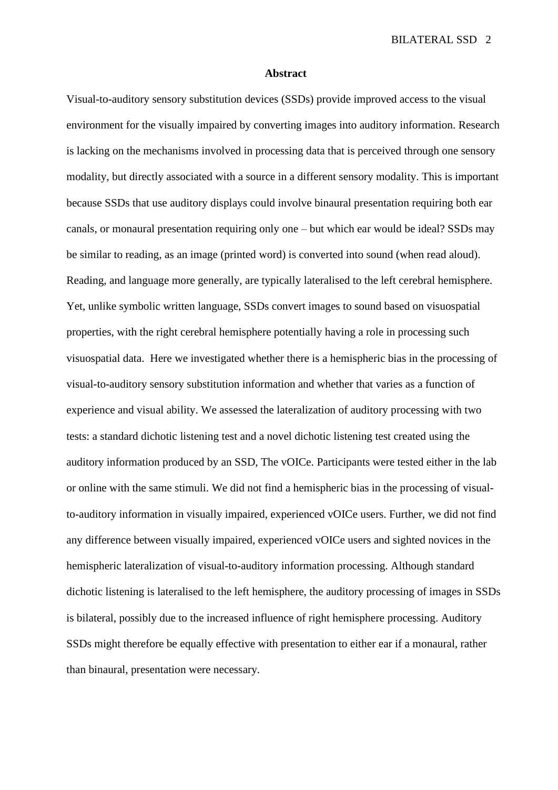#### **Abstract**

Visual-to-auditory sensory substitution devices (SSDs) provide improved access to the visual environment for the visually impaired by converting images into auditory information. Research is lacking on the mechanisms involved in processing data that is perceived through one sensory modality, but directly associated with a source in a different sensory modality. This is important because SSDs that use auditory displays could involve binaural presentation requiring both ear canals, or monaural presentation requiring only one – but which ear would be ideal? SSDs may be similar to reading, as an image (printed word) is converted into sound (when read aloud). Reading, and language more generally, are typically lateralised to the left cerebral hemisphere. Yet, unlike symbolic written language, SSDs convert images to sound based on visuospatial properties, with the right cerebral hemisphere potentially having a role in processing such visuospatial data. Here we investigated whether there is a hemispheric bias in the processing of visual-to-auditory sensory substitution information and whether that varies as a function of experience and visual ability. We assessed the lateralization of auditory processing with two tests: a standard dichotic listening test and a novel dichotic listening test created using the auditory information produced by an SSD, The vOICe. Participants were tested either in the lab or online with the same stimuli. We did not find a hemispheric bias in the processing of visualto-auditory information in visually impaired, experienced vOICe users. Further, we did not find any difference between visually impaired, experienced vOICe users and sighted novices in the hemispheric lateralization of visual-to-auditory information processing. Although standard dichotic listening is lateralised to the left hemisphere, the auditory processing of images in SSDs is bilateral, possibly due to the increased influence of right hemisphere processing. Auditory SSDs might therefore be equally effective with presentation to either ear if a monaural, rather than binaural, presentation were necessary.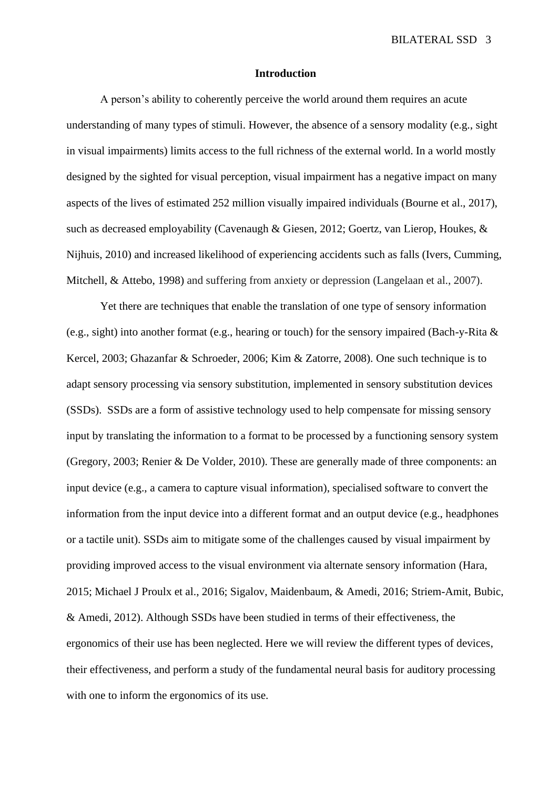#### **Introduction**

A person's ability to coherently perceive the world around them requires an acute understanding of many types of stimuli. However, the absence of a sensory modality (e.g., sight in visual impairments) limits access to the full richness of the external world. In a world mostly designed by the sighted for visual perception, visual impairment has a negative impact on many aspects of the lives of estimated 252 million visually impaired individuals (Bourne et al., 2017), such as decreased employability (Cavenaugh & Giesen, 2012; Goertz, van Lierop, Houkes, & Nijhuis, 2010) and increased likelihood of experiencing accidents such as falls (Ivers, Cumming, Mitchell, & Attebo, 1998) and suffering from anxiety or depression (Langelaan et al., 2007).

Yet there are techniques that enable the translation of one type of sensory information (e.g., sight) into another format (e.g., hearing or touch) for the sensory impaired (Bach-y-Rita  $\&$ Kercel, 2003; Ghazanfar & Schroeder, 2006; Kim & Zatorre, 2008). One such technique is to adapt sensory processing via sensory substitution, implemented in sensory substitution devices (SSDs). SSDs are a form of assistive technology used to help compensate for missing sensory input by translating the information to a format to be processed by a functioning sensory system (Gregory, 2003; Renier & De Volder, 2010). These are generally made of three components: an input device (e.g., a camera to capture visual information), specialised software to convert the information from the input device into a different format and an output device (e.g., headphones or a tactile unit). SSDs aim to mitigate some of the challenges caused by visual impairment by providing improved access to the visual environment via alternate sensory information (Hara, 2015; Michael J Proulx et al., 2016; Sigalov, Maidenbaum, & Amedi, 2016; Striem-Amit, Bubic, & Amedi, 2012). Although SSDs have been studied in terms of their effectiveness, the ergonomics of their use has been neglected. Here we will review the different types of devices, their effectiveness, and perform a study of the fundamental neural basis for auditory processing with one to inform the ergonomics of its use.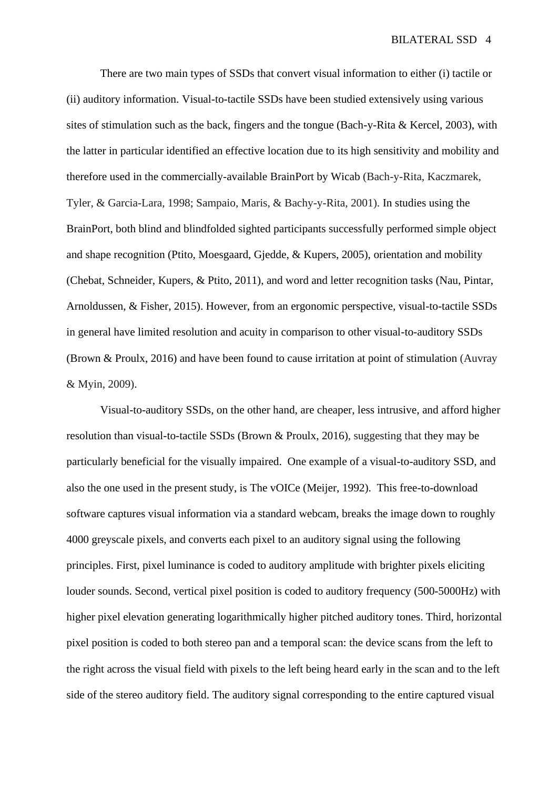There are two main types of SSDs that convert visual information to either (i) tactile or (ii) auditory information. Visual-to-tactile SSDs have been studied extensively using various sites of stimulation such as the back, fingers and the tongue (Bach-y-Rita & Kercel, 2003), with the latter in particular identified an effective location due to its high sensitivity and mobility and therefore used in the commercially-available BrainPort by Wicab (Bach-y-Rita, Kaczmarek, Tyler, & Garcia-Lara, 1998; Sampaio, Maris, & Bachy-y-Rita, 2001). In studies using the BrainPort, both blind and blindfolded sighted participants successfully performed simple object and shape recognition (Ptito, Moesgaard, Gjedde, & Kupers, 2005), orientation and mobility (Chebat, Schneider, Kupers, & Ptito, 2011), and word and letter recognition tasks (Nau, Pintar, Arnoldussen, & Fisher, 2015). However, from an ergonomic perspective, visual-to-tactile SSDs in general have limited resolution and acuity in comparison to other visual-to-auditory SSDs (Brown & Proulx, 2016) and have been found to cause irritation at point of stimulation (Auvray & Myin, 2009).

Visual-to-auditory SSDs, on the other hand, are cheaper, less intrusive, and afford higher resolution than visual-to-tactile SSDs (Brown & Proulx, 2016), suggesting that they may be particularly beneficial for the visually impaired. One example of a visual-to-auditory SSD, and also the one used in the present study, is The vOICe (Meijer, 1992). This free-to-download software captures visual information via a standard webcam, breaks the image down to roughly 4000 greyscale pixels, and converts each pixel to an auditory signal using the following principles. First, pixel luminance is coded to auditory amplitude with brighter pixels eliciting louder sounds. Second, vertical pixel position is coded to auditory frequency (500-5000Hz) with higher pixel elevation generating logarithmically higher pitched auditory tones. Third, horizontal pixel position is coded to both stereo pan and a temporal scan: the device scans from the left to the right across the visual field with pixels to the left being heard early in the scan and to the left side of the stereo auditory field. The auditory signal corresponding to the entire captured visual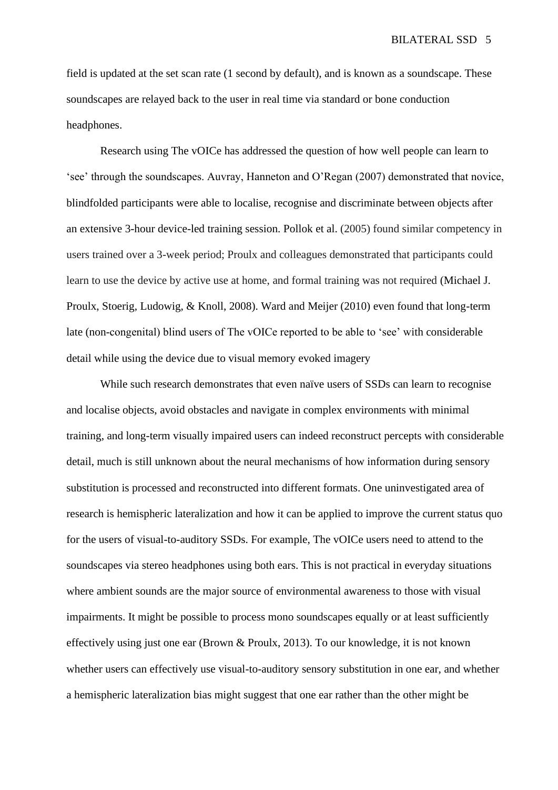field is updated at the set scan rate (1 second by default), and is known as a soundscape. These soundscapes are relayed back to the user in real time via standard or bone conduction headphones.

Research using The vOICe has addressed the question of how well people can learn to 'see' through the soundscapes. Auvray, Hanneton and O'Regan (2007) demonstrated that novice, blindfolded participants were able to localise, recognise and discriminate between objects after an extensive 3-hour device-led training session. Pollok et al. (2005) found similar competency in users trained over a 3-week period; Proulx and colleagues demonstrated that participants could learn to use the device by active use at home, and formal training was not required (Michael J. Proulx, Stoerig, Ludowig, & Knoll, 2008). Ward and Meijer (2010) even found that long-term late (non-congenital) blind users of The vOICe reported to be able to 'see' with considerable detail while using the device due to visual memory evoked imagery

While such research demonstrates that even naïve users of SSDs can learn to recognise and localise objects, avoid obstacles and navigate in complex environments with minimal training, and long-term visually impaired users can indeed reconstruct percepts with considerable detail, much is still unknown about the neural mechanisms of how information during sensory substitution is processed and reconstructed into different formats. One uninvestigated area of research is hemispheric lateralization and how it can be applied to improve the current status quo for the users of visual-to-auditory SSDs. For example, The vOICe users need to attend to the soundscapes via stereo headphones using both ears. This is not practical in everyday situations where ambient sounds are the major source of environmental awareness to those with visual impairments. It might be possible to process mono soundscapes equally or at least sufficiently effectively using just one ear (Brown & Proulx, 2013). To our knowledge, it is not known whether users can effectively use visual-to-auditory sensory substitution in one ear, and whether a hemispheric lateralization bias might suggest that one ear rather than the other might be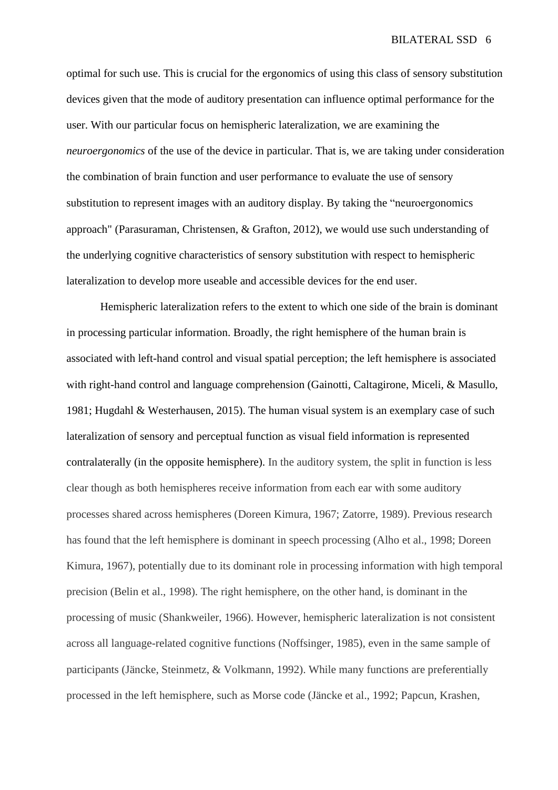optimal for such use. This is crucial for the ergonomics of using this class of sensory substitution devices given that the mode of auditory presentation can influence optimal performance for the user. With our particular focus on hemispheric lateralization, we are examining the *neuroergonomics* of the use of the device in particular. That is, we are taking under consideration the combination of brain function and user performance to evaluate the use of sensory substitution to represent images with an auditory display. By taking the "neuroergonomics approach" (Parasuraman, Christensen, & Grafton, 2012), we would use such understanding of the underlying cognitive characteristics of sensory substitution with respect to hemispheric lateralization to develop more useable and accessible devices for the end user.

Hemispheric lateralization refers to the extent to which one side of the brain is dominant in processing particular information. Broadly, the right hemisphere of the human brain is associated with left-hand control and visual spatial perception; the left hemisphere is associated with right-hand control and language comprehension (Gainotti, Caltagirone, Miceli, & Masullo, 1981; Hugdahl & Westerhausen, 2015). The human visual system is an exemplary case of such lateralization of sensory and perceptual function as visual field information is represented contralaterally (in the opposite hemisphere). In the auditory system, the split in function is less clear though as both hemispheres receive information from each ear with some auditory processes shared across hemispheres (Doreen Kimura, 1967; Zatorre, 1989). Previous research has found that the left hemisphere is dominant in speech processing (Alho et al., 1998; Doreen Kimura, 1967), potentially due to its dominant role in processing information with high temporal precision (Belin et al., 1998). The right hemisphere, on the other hand, is dominant in the processing of music (Shankweiler, 1966). However, hemispheric lateralization is not consistent across all language-related cognitive functions (Noffsinger, 1985), even in the same sample of participants (Jäncke, Steinmetz, & Volkmann, 1992). While many functions are preferentially processed in the left hemisphere, such as Morse code (Jäncke et al., 1992; Papcun, Krashen,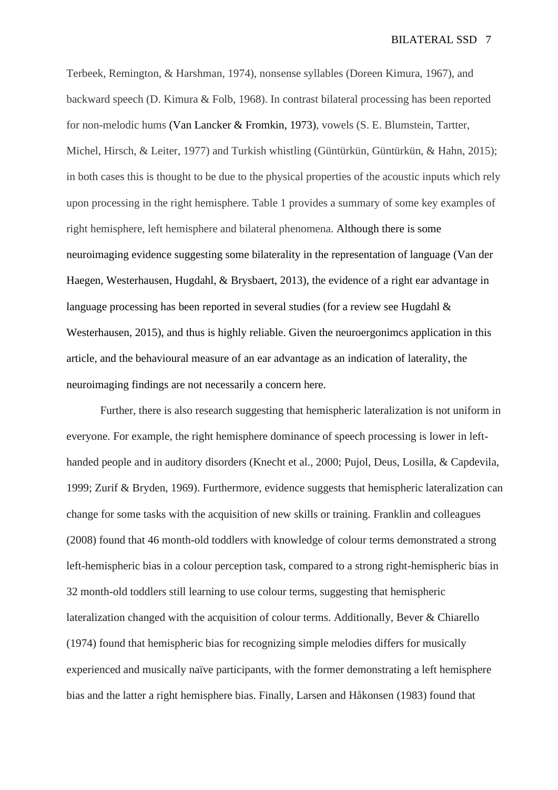Terbeek, Remington, & Harshman, 1974), nonsense syllables (Doreen Kimura, 1967), and backward speech (D. Kimura & Folb, 1968). In contrast bilateral processing has been reported for non-melodic hums (Van Lancker & Fromkin, 1973), vowels (S. E. Blumstein, Tartter, Michel, Hirsch, & Leiter, 1977) and Turkish whistling (Güntürkün, Güntürkün, & Hahn, 2015); in both cases this is thought to be due to the physical properties of the acoustic inputs which rely upon processing in the right hemisphere. Table 1 provides a summary of some key examples of right hemisphere, left hemisphere and bilateral phenomena. Although there is some neuroimaging evidence suggesting some bilaterality in the representation of language (Van der Haegen, Westerhausen, Hugdahl, & Brysbaert, 2013), the evidence of a right ear advantage in language processing has been reported in several studies (for a review see Hugdahl  $\&$ [Westerhausen, 2015\)](#page-24-0), and thus is highly reliable. Given the neuroergonimcs application in this article, and the behavioural measure of an ear advantage as an indication of laterality, the neuroimaging findings are not necessarily a concern here.

Further, there is also research suggesting that hemispheric lateralization is not uniform in everyone. For example, the right hemisphere dominance of speech processing is lower in lefthanded people and in auditory disorders (Knecht et al., 2000; Pujol, Deus, Losilla, & Capdevila, 1999; Zurif & Bryden, 1969). Furthermore, evidence suggests that hemispheric lateralization can change for some tasks with the acquisition of new skills or training. Franklin and colleagues (2008) found that 46 month-old toddlers with knowledge of colour terms demonstrated a strong left-hemispheric bias in a colour perception task, compared to a strong right-hemispheric bias in 32 month-old toddlers still learning to use colour terms, suggesting that hemispheric lateralization changed with the acquisition of colour terms. Additionally, Bever & Chiarello (1974) found that hemispheric bias for recognizing simple melodies differs for musically experienced and musically naïve participants, with the former demonstrating a left hemisphere bias and the latter a right hemisphere bias. Finally, Larsen and Håkonsen (1983) found that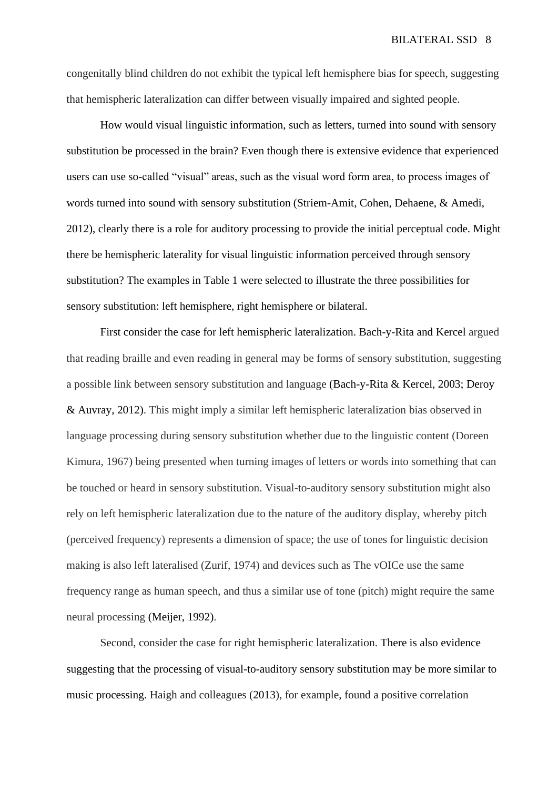congenitally blind children do not exhibit the typical left hemisphere bias for speech, suggesting that hemispheric lateralization can differ between visually impaired and sighted people.

How would visual linguistic information, such as letters, turned into sound with sensory substitution be processed in the brain? Even though there is extensive evidence that experienced users can use so-called "visual" areas, such as the visual word form area, to process images of words turned into sound with sensory substitution (Striem-Amit, Cohen, Dehaene, & Amedi, 2012), clearly there is a role for auditory processing to provide the initial perceptual code. Might there be hemispheric laterality for visual linguistic information perceived through sensory substitution? The examples in Table 1 were selected to illustrate the three possibilities for sensory substitution: left hemisphere, right hemisphere or bilateral.

First consider the case for left hemispheric lateralization. Bach-y-Rita and Kercel argued that reading braille and even reading in general may be forms of sensory substitution, suggesting a possible link between sensory substitution and language (Bach-y-Rita & Kercel, 2003; Deroy & Auvray, 2012). This might imply a similar left hemispheric lateralization bias observed in language processing during sensory substitution whether due to the linguistic content (Doreen Kimura, 1967) being presented when turning images of letters or words into something that can be touched or heard in sensory substitution. Visual-to-auditory sensory substitution might also rely on left hemispheric lateralization due to the nature of the auditory display, whereby pitch (perceived frequency) represents a dimension of space; the use of tones for linguistic decision making is also left lateralised (Zurif, 1974) and devices such as The vOICe use the same frequency range as human speech, and thus a similar use of tone (pitch) might require the same neural processing (Meijer, 1992).

Second, consider the case for right hemispheric lateralization. There is also evidence suggesting that the processing of visual-to-auditory sensory substitution may be more similar to music processing. Haigh and colleagues (2013), for example, found a positive correlation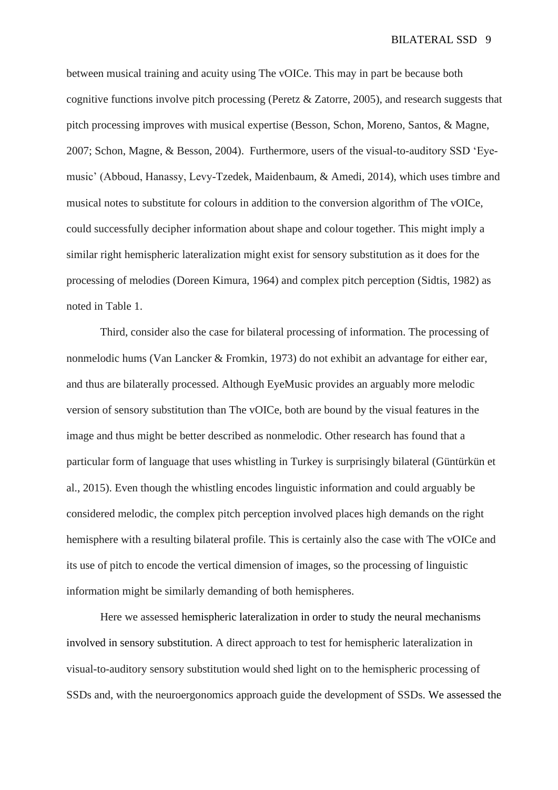between musical training and acuity using The vOICe. This may in part be because both cognitive functions involve pitch processing (Peretz & Zatorre, 2005), and research suggests that pitch processing improves with musical expertise (Besson, Schon, Moreno, Santos, & Magne, 2007; Schon, Magne, & Besson, 2004). Furthermore, users of the visual-to-auditory SSD 'Eyemusic' (Abboud, Hanassy, Levy-Tzedek, Maidenbaum, & Amedi, 2014), which uses timbre and musical notes to substitute for colours in addition to the conversion algorithm of The vOICe, could successfully decipher information about shape and colour together. This might imply a similar right hemispheric lateralization might exist for sensory substitution as it does for the processing of melodies (Doreen Kimura, 1964) and complex pitch perception (Sidtis, 1982) as noted in Table 1.

Third, consider also the case for bilateral processing of information. The processing of nonmelodic hums (Van Lancker & Fromkin, 1973) do not exhibit an advantage for either ear, and thus are bilaterally processed. Although EyeMusic provides an arguably more melodic version of sensory substitution than The vOICe, both are bound by the visual features in the image and thus might be better described as nonmelodic. Other research has found that a particular form of language that uses whistling in Turkey is surprisingly bilateral (Güntürkün et al., 2015). Even though the whistling encodes linguistic information and could arguably be considered melodic, the complex pitch perception involved places high demands on the right hemisphere with a resulting bilateral profile. This is certainly also the case with The vOICe and its use of pitch to encode the vertical dimension of images, so the processing of linguistic information might be similarly demanding of both hemispheres.

Here we assessed hemispheric lateralization in order to study the neural mechanisms involved in sensory substitution. A direct approach to test for hemispheric lateralization in visual-to-auditory sensory substitution would shed light on to the hemispheric processing of SSDs and, with the neuroergonomics approach guide the development of SSDs. We assessed the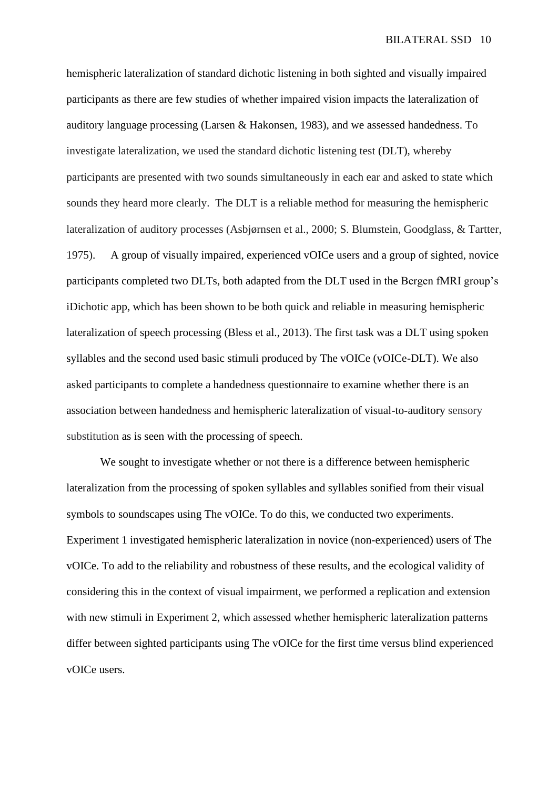hemispheric lateralization of standard dichotic listening in both sighted and visually impaired participants as there are few studies of whether impaired vision impacts the lateralization of auditory language processing (Larsen & Hakonsen, 1983), and we assessed handedness. To investigate lateralization, we used the standard dichotic listening test (DLT), whereby participants are presented with two sounds simultaneously in each ear and asked to state which sounds they heard more clearly. The DLT is a reliable method for measuring the hemispheric lateralization of auditory processes (Asbjørnsen et al., 2000; S. Blumstein, Goodglass, & Tartter, 1975). A group of visually impaired, experienced vOICe users and a group of sighted, novice participants completed two DLTs, both adapted from the DLT used in the Bergen fMRI group's iDichotic app, which has been shown to be both quick and reliable in measuring hemispheric lateralization of speech processing (Bless et al., 2013). The first task was a DLT using spoken syllables and the second used basic stimuli produced by The vOICe (vOICe-DLT). We also asked participants to complete a handedness questionnaire to examine whether there is an association between handedness and hemispheric lateralization of visual-to-auditory sensory substitution as is seen with the processing of speech.

We sought to investigate whether or not there is a difference between hemispheric lateralization from the processing of spoken syllables and syllables sonified from their visual symbols to soundscapes using The vOICe. To do this, we conducted two experiments. Experiment 1 investigated hemispheric lateralization in novice (non-experienced) users of The vOICe. To add to the reliability and robustness of these results, and the ecological validity of considering this in the context of visual impairment, we performed a replication and extension with new stimuli in Experiment 2, which assessed whether hemispheric lateralization patterns differ between sighted participants using The vOICe for the first time versus blind experienced vOICe users.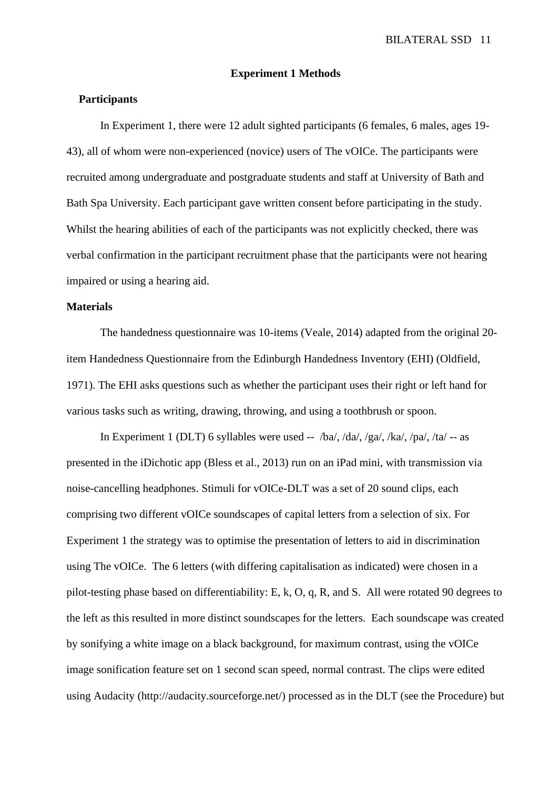#### **Experiment 1 Methods**

#### **Participants**

In Experiment 1, there were 12 adult sighted participants (6 females, 6 males, ages 19- 43), all of whom were non-experienced (novice) users of The vOICe. The participants were recruited among undergraduate and postgraduate students and staff at University of Bath and Bath Spa University. Each participant gave written consent before participating in the study. Whilst the hearing abilities of each of the participants was not explicitly checked, there was verbal confirmation in the participant recruitment phase that the participants were not hearing impaired or using a hearing aid.

#### **Materials**

The handedness questionnaire was 10-items (Veale, 2014) adapted from the original 20 item Handedness Questionnaire from the Edinburgh Handedness Inventory (EHI) (Oldfield, 1971). The EHI asks questions such as whether the participant uses their right or left hand for various tasks such as writing, drawing, throwing, and using a toothbrush or spoon.

In Experiment 1 (DLT) 6 syllables were used --  $/ba/$ ,  $/da/$ ,  $/ga/$ ,  $/ka/$ ,  $/pa/$ ,  $/ta/$  -- as presented in the iDichotic app (Bless et al., 2013) run on an iPad mini, with transmission via noise-cancelling headphones. Stimuli for vOICe-DLT was a set of 20 sound clips, each comprising two different vOICe soundscapes of capital letters from a selection of six. For Experiment 1 the strategy was to optimise the presentation of letters to aid in discrimination using The vOICe. The 6 letters (with differing capitalisation as indicated) were chosen in a pilot-testing phase based on differentiability: E, k, O, q, R, and S. All were rotated 90 degrees to the left as this resulted in more distinct soundscapes for the letters. Each soundscape was created by sonifying a white image on a black background, for maximum contrast, using the vOICe image sonification feature set on 1 second scan speed, normal contrast. The clips were edited using Audacity (http://audacity.sourceforge.net/) processed as in the DLT (see the Procedure) but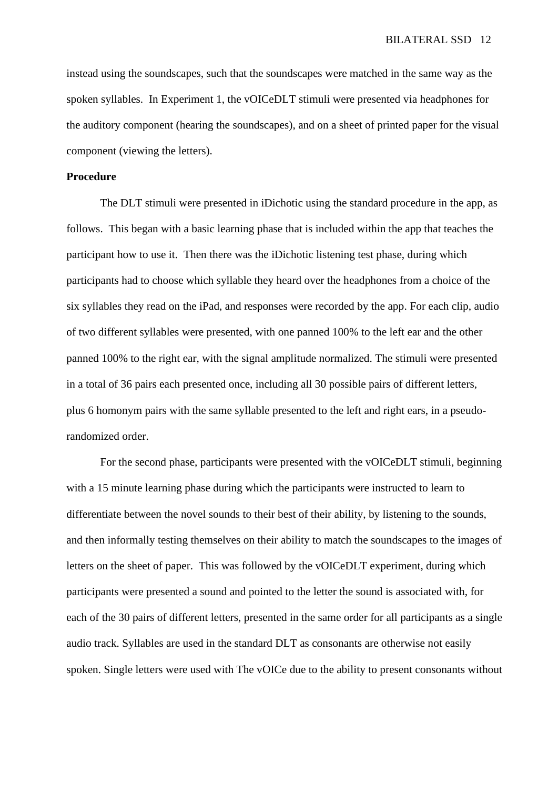instead using the soundscapes, such that the soundscapes were matched in the same way as the spoken syllables. In Experiment 1, the vOICeDLT stimuli were presented via headphones for the auditory component (hearing the soundscapes), and on a sheet of printed paper for the visual component (viewing the letters).

#### **Procedure**

The DLT stimuli were presented in iDichotic using the standard procedure in the app, as follows. This began with a basic learning phase that is included within the app that teaches the participant how to use it. Then there was the iDichotic listening test phase, during which participants had to choose which syllable they heard over the headphones from a choice of the six syllables they read on the iPad, and responses were recorded by the app. For each clip, audio of two different syllables were presented, with one panned 100% to the left ear and the other panned 100% to the right ear, with the signal amplitude normalized. The stimuli were presented in a total of 36 pairs each presented once, including all 30 possible pairs of different letters, plus 6 homonym pairs with the same syllable presented to the left and right ears, in a pseudorandomized order.

For the second phase, participants were presented with the vOICeDLT stimuli, beginning with a 15 minute learning phase during which the participants were instructed to learn to differentiate between the novel sounds to their best of their ability, by listening to the sounds, and then informally testing themselves on their ability to match the soundscapes to the images of letters on the sheet of paper. This was followed by the vOICeDLT experiment, during which participants were presented a sound and pointed to the letter the sound is associated with, for each of the 30 pairs of different letters, presented in the same order for all participants as a single audio track. Syllables are used in the standard DLT as consonants are otherwise not easily spoken. Single letters were used with The vOICe due to the ability to present consonants without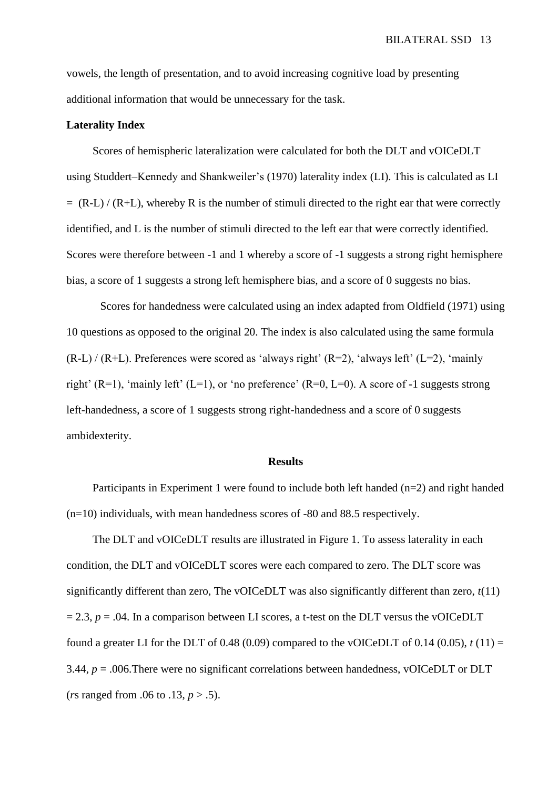vowels, the length of presentation, and to avoid increasing cognitive load by presenting additional information that would be unnecessary for the task.

#### **Laterality Index**

Scores of hemispheric lateralization were calculated for both the DLT and vOICeDLT using Studdert–Kennedy and Shankweiler's (1970) laterality index (LI). This is calculated as LI  $= (R-L)/(R+L)$ , whereby R is the number of stimuli directed to the right ear that were correctly identified, and L is the number of stimuli directed to the left ear that were correctly identified. Scores were therefore between -1 and 1 whereby a score of -1 suggests a strong right hemisphere bias, a score of 1 suggests a strong left hemisphere bias, and a score of 0 suggests no bias.

Scores for handedness were calculated using an index adapted from Oldfield (1971) using 10 questions as opposed to the original 20. The index is also calculated using the same formula  $(R-L) / (R+L)$ . Preferences were scored as 'always right'  $(R=2)$ , 'always left'  $(L=2)$ , 'mainly right' (R=1), 'mainly left' (L=1), or 'no preference' (R=0, L=0). A score of -1 suggests strong left-handedness, a score of 1 suggests strong right-handedness and a score of 0 suggests ambidexterity.

#### **Results**

Participants in Experiment 1 were found to include both left handed (n=2) and right handed (n=10) individuals, with mean handedness scores of -80 and 88.5 respectively.

The DLT and vOICeDLT results are illustrated in Figure 1. To assess laterality in each condition, the DLT and vOICeDLT scores were each compared to zero. The DLT score was significantly different than zero, The vOICeDLT was also significantly different than zero, *t*(11)  $= 2.3$ ,  $p = .04$ . In a comparison between LI scores, a t-test on the DLT versus the vOICeDLT found a greater LI for the DLT of 0.48 (0.09) compared to the vOICeDLT of 0.14 (0.05),  $t(11) =$ 3.44, *p* = .006.There were no significant correlations between handedness, vOICeDLT or DLT (*r*s ranged from .06 to .13, *p* > .5).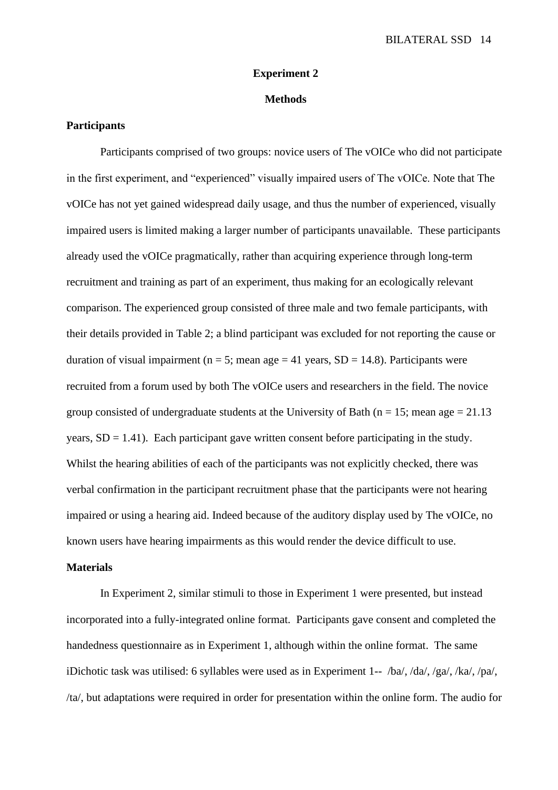#### **Experiment 2**

## **Methods**

#### **Participants**

Participants comprised of two groups: novice users of The vOICe who did not participate in the first experiment, and "experienced" visually impaired users of The vOICe. Note that The vOICe has not yet gained widespread daily usage, and thus the number of experienced, visually impaired users is limited making a larger number of participants unavailable. These participants already used the vOICe pragmatically, rather than acquiring experience through long-term recruitment and training as part of an experiment, thus making for an ecologically relevant comparison. The experienced group consisted of three male and two female participants, with their details provided in Table 2; a blind participant was excluded for not reporting the cause or duration of visual impairment ( $n = 5$ ; mean age = 41 years, SD = 14.8). Participants were recruited from a forum used by both The vOICe users and researchers in the field. The novice group consisted of undergraduate students at the University of Bath ( $n = 15$ ; mean age = 21.13 years,  $SD = 1.41$ ). Each participant gave written consent before participating in the study. Whilst the hearing abilities of each of the participants was not explicitly checked, there was verbal confirmation in the participant recruitment phase that the participants were not hearing impaired or using a hearing aid. Indeed because of the auditory display used by The vOICe, no known users have hearing impairments as this would render the device difficult to use.

#### **Materials**

In Experiment 2, similar stimuli to those in Experiment 1 were presented, but instead incorporated into a fully-integrated online format. Participants gave consent and completed the handedness questionnaire as in Experiment 1, although within the online format. The same iDichotic task was utilised: 6 syllables were used as in Experiment 1-- /ba/, /da/, /ga/, /ka/, /pa/, /ta/, but adaptations were required in order for presentation within the online form. The audio for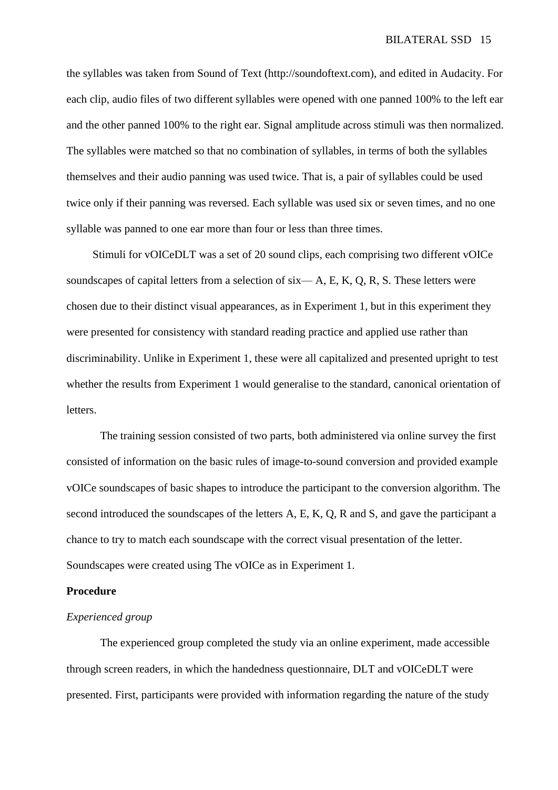the syllables was taken from Sound of Text (http://soundoftext.com), and edited in Audacity. For each clip, audio files of two different syllables were opened with one panned 100% to the left ear and the other panned 100% to the right ear. Signal amplitude across stimuli was then normalized. The syllables were matched so that no combination of syllables, in terms of both the syllables themselves and their audio panning was used twice. That is, a pair of syllables could be used twice only if their panning was reversed. Each syllable was used six or seven times, and no one syllable was panned to one ear more than four or less than three times.

Stimuli for vOICeDLT was a set of 20 sound clips, each comprising two different vOICe soundscapes of capital letters from a selection of  $six - A$ , E, K, Q, R, S. These letters were chosen due to their distinct visual appearances, as in Experiment 1, but in this experiment they were presented for consistency with standard reading practice and applied use rather than discriminability. Unlike in Experiment 1, these were all capitalized and presented upright to test whether the results from Experiment 1 would generalise to the standard, canonical orientation of letters.

The training session consisted of two parts, both administered via online survey the first consisted of information on the basic rules of image-to-sound conversion and provided example vOICe soundscapes of basic shapes to introduce the participant to the conversion algorithm. The second introduced the soundscapes of the letters A, E, K, Q, R and S, and gave the participant a chance to try to match each soundscape with the correct visual presentation of the letter. Soundscapes were created using The vOICe as in Experiment 1.

# **Procedure**

#### *Experienced group*

The experienced group completed the study via an online experiment, made accessible through screen readers, in which the handedness questionnaire, DLT and vOICeDLT were presented. First, participants were provided with information regarding the nature of the study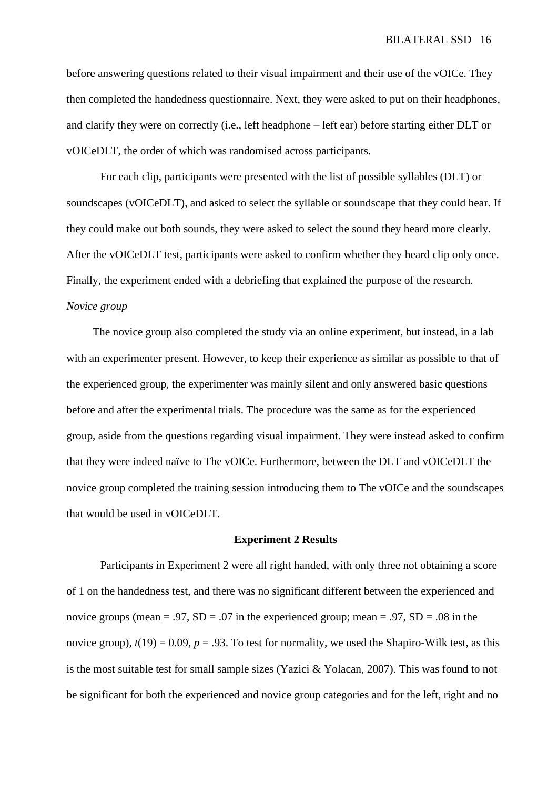before answering questions related to their visual impairment and their use of the vOICe. They then completed the handedness questionnaire. Next, they were asked to put on their headphones, and clarify they were on correctly (i.e., left headphone – left ear) before starting either DLT or vOICeDLT, the order of which was randomised across participants.

For each clip, participants were presented with the list of possible syllables (DLT) or soundscapes (vOICeDLT), and asked to select the syllable or soundscape that they could hear. If they could make out both sounds, they were asked to select the sound they heard more clearly. After the vOICeDLT test, participants were asked to confirm whether they heard clip only once. Finally, the experiment ended with a debriefing that explained the purpose of the research. *Novice group*

The novice group also completed the study via an online experiment, but instead, in a lab with an experimenter present. However, to keep their experience as similar as possible to that of the experienced group, the experimenter was mainly silent and only answered basic questions before and after the experimental trials. The procedure was the same as for the experienced group, aside from the questions regarding visual impairment. They were instead asked to confirm that they were indeed naïve to The vOICe. Furthermore, between the DLT and vOICeDLT the novice group completed the training session introducing them to The vOICe and the soundscapes that would be used in vOICeDLT.

#### **Experiment 2 Results**

Participants in Experiment 2 were all right handed, with only three not obtaining a score of 1 on the handedness test, and there was no significant different between the experienced and novice groups (mean = .97,  $SD = .07$  in the experienced group; mean = .97,  $SD = .08$  in the novice group),  $t(19) = 0.09$ ,  $p = .93$ . To test for normality, we used the Shapiro-Wilk test, as this is the most suitable test for small sample sizes (Yazici & Yolacan, 2007). This was found to not be significant for both the experienced and novice group categories and for the left, right and no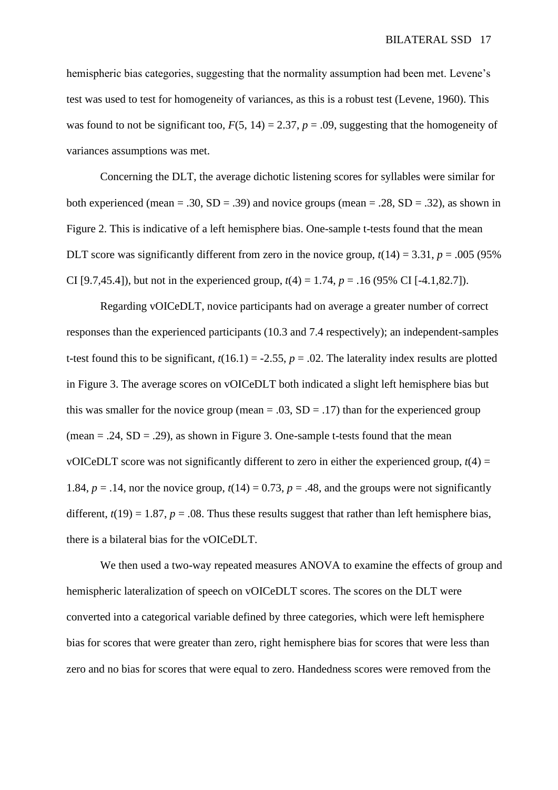hemispheric bias categories, suggesting that the normality assumption had been met. Levene's test was used to test for homogeneity of variances, as this is a robust test (Levene, 1960). This was found to not be significant too,  $F(5, 14) = 2.37$ ,  $p = .09$ , suggesting that the homogeneity of variances assumptions was met.

Concerning the DLT, the average dichotic listening scores for syllables were similar for both experienced (mean = .30,  $SD = .39$ ) and novice groups (mean = .28,  $SD = .32$ ), as shown in Figure 2. This is indicative of a left hemisphere bias. One-sample t-tests found that the mean DLT score was significantly different from zero in the novice group,  $t(14) = 3.31$ ,  $p = .005$  (95%) CI [9.7,45.4]), but not in the experienced group,  $t(4) = 1.74$ ,  $p = .16$  (95% CI [-4.1,82.7]).

Regarding vOICeDLT, novice participants had on average a greater number of correct responses than the experienced participants (10.3 and 7.4 respectively); an independent-samples t-test found this to be significant,  $t(16.1) = -2.55$ ,  $p = .02$ . The laterality index results are plotted in Figure 3. The average scores on vOICeDLT both indicated a slight left hemisphere bias but this was smaller for the novice group (mean =  $.03$ , SD =  $.17$ ) than for the experienced group (mean  $= .24$ , SD  $= .29$ ), as shown in Figure 3. One-sample t-tests found that the mean vOICeDLT score was not significantly different to zero in either the experienced group,  $t(4)$  = 1.84,  $p = .14$ , nor the novice group,  $t(14) = 0.73$ ,  $p = .48$ , and the groups were not significantly different,  $t(19) = 1.87$ ,  $p = .08$ . Thus these results suggest that rather than left hemisphere bias, there is a bilateral bias for the vOICeDLT.

We then used a two-way repeated measures ANOVA to examine the effects of group and hemispheric lateralization of speech on vOICeDLT scores. The scores on the DLT were converted into a categorical variable defined by three categories, which were left hemisphere bias for scores that were greater than zero, right hemisphere bias for scores that were less than zero and no bias for scores that were equal to zero. Handedness scores were removed from the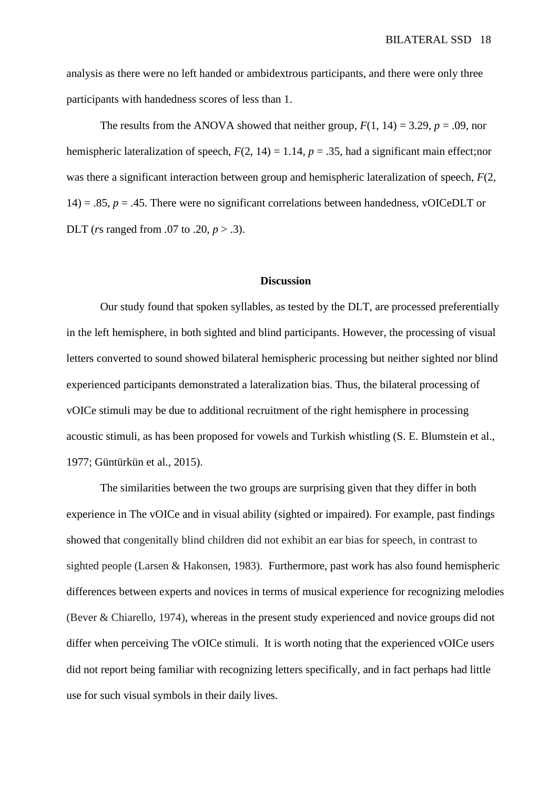analysis as there were no left handed or ambidextrous participants, and there were only three participants with handedness scores of less than 1.

The results from the ANOVA showed that neither group,  $F(1, 14) = 3.29$ ,  $p = .09$ , nor hemispheric lateralization of speech,  $F(2, 14) = 1.14$ ,  $p = .35$ , had a significant main effect;nor was there a significant interaction between group and hemispheric lateralization of speech, *F*(2, 14) = .85,  $p = 0.45$ . There were no significant correlations between handedness, vOICeDLT or DLT (*r*s ranged from .07 to .20, *p* > .3).

#### **Discussion**

Our study found that spoken syllables, as tested by the DLT, are processed preferentially in the left hemisphere, in both sighted and blind participants. However, the processing of visual letters converted to sound showed bilateral hemispheric processing but neither sighted nor blind experienced participants demonstrated a lateralization bias. Thus, the bilateral processing of vOICe stimuli may be due to additional recruitment of the right hemisphere in processing acoustic stimuli, as has been proposed for vowels and Turkish whistling (S. E. Blumstein et al., 1977; Güntürkün et al., 2015).

The similarities between the two groups are surprising given that they differ in both experience in The vOICe and in visual ability (sighted or impaired). For example, past findings showed that congenitally blind children did not exhibit an ear bias for speech, in contrast to sighted people (Larsen & Hakonsen, 1983). Furthermore, past work has also found hemispheric differences between experts and novices in terms of musical experience for recognizing melodies (Bever & Chiarello, 1974), whereas in the present study experienced and novice groups did not differ when perceiving The vOICe stimuli. It is worth noting that the experienced vOICe users did not report being familiar with recognizing letters specifically, and in fact perhaps had little use for such visual symbols in their daily lives.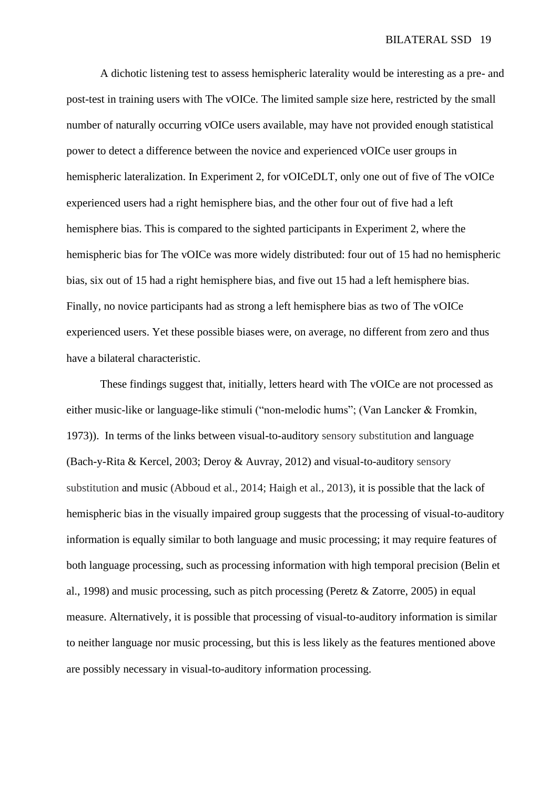A dichotic listening test to assess hemispheric laterality would be interesting as a pre- and post-test in training users with The vOICe. The limited sample size here, restricted by the small number of naturally occurring vOICe users available, may have not provided enough statistical power to detect a difference between the novice and experienced vOICe user groups in hemispheric lateralization. In Experiment 2, for vOICeDLT, only one out of five of The vOICe experienced users had a right hemisphere bias, and the other four out of five had a left hemisphere bias. This is compared to the sighted participants in Experiment 2, where the hemispheric bias for The vOICe was more widely distributed: four out of 15 had no hemispheric bias, six out of 15 had a right hemisphere bias, and five out 15 had a left hemisphere bias. Finally, no novice participants had as strong a left hemisphere bias as two of The vOICe experienced users. Yet these possible biases were, on average, no different from zero and thus have a bilateral characteristic.

These findings suggest that, initially, letters heard with The vOICe are not processed as either music-like or language-like stimuli ("non-melodic hums"; (Van Lancker & Fromkin, 1973)). In terms of the links between visual-to-auditory sensory substitution and language (Bach-y-Rita & Kercel, 2003; Deroy & Auvray, 2012) and visual-to-auditory sensory substitution and music (Abboud et al., 2014; Haigh et al., 2013), it is possible that the lack of hemispheric bias in the visually impaired group suggests that the processing of visual-to-auditory information is equally similar to both language and music processing; it may require features of both language processing, such as processing information with high temporal precision (Belin et al., 1998) and music processing, such as pitch processing (Peretz & Zatorre, 2005) in equal measure. Alternatively, it is possible that processing of visual-to-auditory information is similar to neither language nor music processing, but this is less likely as the features mentioned above are possibly necessary in visual-to-auditory information processing.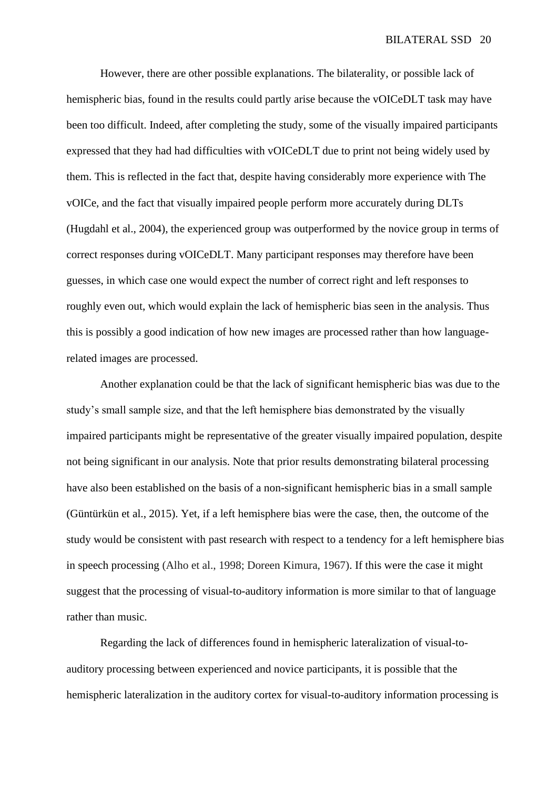However, there are other possible explanations. The bilaterality, or possible lack of hemispheric bias, found in the results could partly arise because the vOICeDLT task may have been too difficult. Indeed, after completing the study, some of the visually impaired participants expressed that they had had difficulties with vOICeDLT due to print not being widely used by them. This is reflected in the fact that, despite having considerably more experience with The vOICe, and the fact that visually impaired people perform more accurately during DLTs (Hugdahl et al., 2004), the experienced group was outperformed by the novice group in terms of correct responses during vOICeDLT. Many participant responses may therefore have been guesses, in which case one would expect the number of correct right and left responses to roughly even out, which would explain the lack of hemispheric bias seen in the analysis. Thus this is possibly a good indication of how new images are processed rather than how languagerelated images are processed.

Another explanation could be that the lack of significant hemispheric bias was due to the study's small sample size, and that the left hemisphere bias demonstrated by the visually impaired participants might be representative of the greater visually impaired population, despite not being significant in our analysis. Note that prior results demonstrating bilateral processing have also been established on the basis of a non-significant hemispheric bias in a small sample (Güntürkün et al., 2015). Yet, if a left hemisphere bias were the case, then, the outcome of the study would be consistent with past research with respect to a tendency for a left hemisphere bias in speech processing (Alho et al., 1998; Doreen Kimura, 1967). If this were the case it might suggest that the processing of visual-to-auditory information is more similar to that of language rather than music.

Regarding the lack of differences found in hemispheric lateralization of visual-toauditory processing between experienced and novice participants, it is possible that the hemispheric lateralization in the auditory cortex for visual-to-auditory information processing is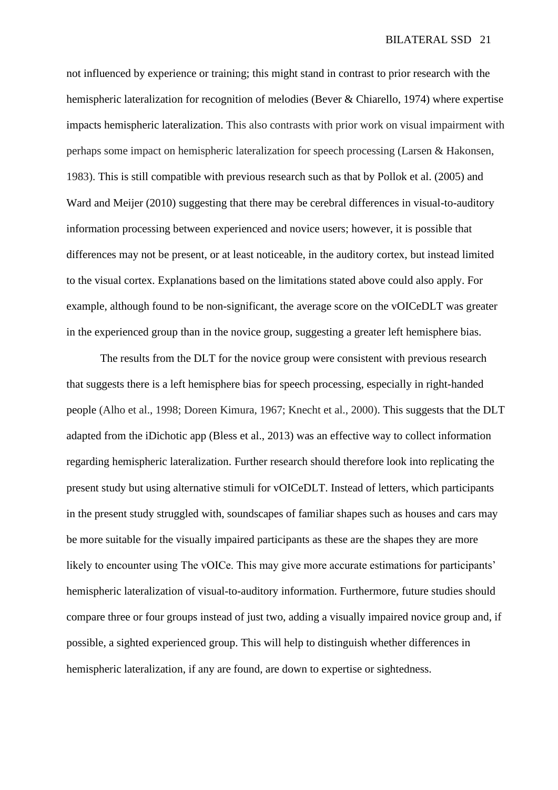not influenced by experience or training; this might stand in contrast to prior research with the hemispheric lateralization for recognition of melodies (Bever & Chiarello, 1974) where expertise impacts hemispheric lateralization. This also contrasts with prior work on visual impairment with perhaps some impact on hemispheric lateralization for speech processing (Larsen & Hakonsen, 1983). This is still compatible with previous research such as that by Pollok et al. (2005) and Ward and Meijer (2010) suggesting that there may be cerebral differences in visual-to-auditory information processing between experienced and novice users; however, it is possible that differences may not be present, or at least noticeable, in the auditory cortex, but instead limited to the visual cortex. Explanations based on the limitations stated above could also apply. For example, although found to be non-significant, the average score on the vOICeDLT was greater in the experienced group than in the novice group, suggesting a greater left hemisphere bias.

The results from the DLT for the novice group were consistent with previous research that suggests there is a left hemisphere bias for speech processing, especially in right-handed people (Alho et al., 1998; Doreen Kimura, 1967; Knecht et al., 2000). This suggests that the DLT adapted from the iDichotic app (Bless et al., 2013) was an effective way to collect information regarding hemispheric lateralization. Further research should therefore look into replicating the present study but using alternative stimuli for vOICeDLT. Instead of letters, which participants in the present study struggled with, soundscapes of familiar shapes such as houses and cars may be more suitable for the visually impaired participants as these are the shapes they are more likely to encounter using The vOICe. This may give more accurate estimations for participants' hemispheric lateralization of visual-to-auditory information. Furthermore, future studies should compare three or four groups instead of just two, adding a visually impaired novice group and, if possible, a sighted experienced group. This will help to distinguish whether differences in hemispheric lateralization, if any are found, are down to expertise or sightedness.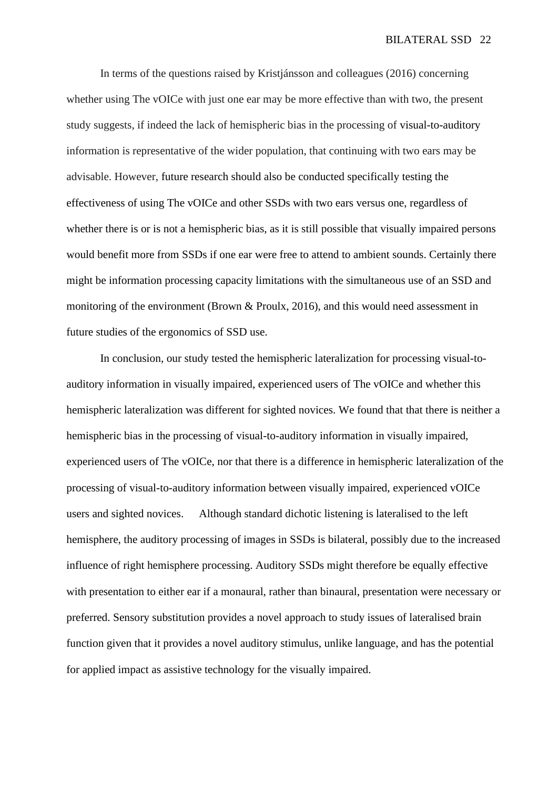In terms of the questions raised by Kristjánsson and colleagues (2016) concerning whether using The vOICe with just one ear may be more effective than with two, the present study suggests, if indeed the lack of hemispheric bias in the processing of visual-to-auditory information is representative of the wider population, that continuing with two ears may be advisable. However, future research should also be conducted specifically testing the effectiveness of using The vOICe and other SSDs with two ears versus one, regardless of whether there is or is not a hemispheric bias, as it is still possible that visually impaired persons would benefit more from SSDs if one ear were free to attend to ambient sounds. Certainly there might be information processing capacity limitations with the simultaneous use of an SSD and monitoring of the environment (Brown & Proulx, 2016), and this would need assessment in future studies of the ergonomics of SSD use.

In conclusion, our study tested the hemispheric lateralization for processing visual-toauditory information in visually impaired, experienced users of The vOICe and whether this hemispheric lateralization was different for sighted novices. We found that that there is neither a hemispheric bias in the processing of visual-to-auditory information in visually impaired, experienced users of The vOICe, nor that there is a difference in hemispheric lateralization of the processing of visual-to-auditory information between visually impaired, experienced vOICe users and sighted novices. Although standard dichotic listening is lateralised to the left hemisphere, the auditory processing of images in SSDs is bilateral, possibly due to the increased influence of right hemisphere processing. Auditory SSDs might therefore be equally effective with presentation to either ear if a monaural, rather than binaural, presentation were necessary or preferred. Sensory substitution provides a novel approach to study issues of lateralised brain function given that it provides a novel auditory stimulus, unlike language, and has the potential for applied impact as assistive technology for the visually impaired.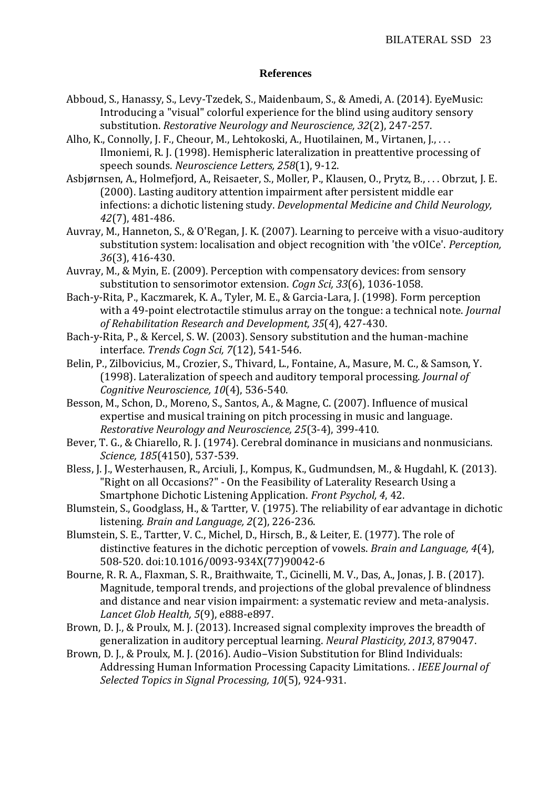# **References**

- Abboud, S., Hanassy, S., Levy-Tzedek, S., Maidenbaum, S., & Amedi, A. (2014). EyeMusic: Introducing a "visual" colorful experience for the blind using auditory sensory substitution. *Restorative Neurology and Neuroscience, 32*(2), 247-257.
- Alho, K., Connolly, J. F., Cheour, M., Lehtokoski, A., Huotilainen, M., Virtanen, J., . . . Ilmoniemi, R. J. (1998). Hemispheric lateralization in preattentive processing of speech sounds. *Neuroscience Letters, 258*(1), 9-12.
- Asbjørnsen, A., Holmefjord, A., Reisaeter, S., Moller, P., Klausen, O., Prytz, B., . . . Obrzut, J. E. (2000). Lasting auditory attention impairment after persistent middle ear infections: a dichotic listening study. *Developmental Medicine and Child Neurology, 42*(7), 481-486.
- Auvray, M., Hanneton, S., & O'Regan, J. K. (2007). Learning to perceive with a visuo-auditory substitution system: localisation and object recognition with 'the vOICe'. *Perception, 36*(3), 416-430.
- Auvray, M., & Myin, E. (2009). Perception with compensatory devices: from sensory substitution to sensorimotor extension. *Cogn Sci, 33*(6), 1036-1058.
- Bach-y-Rita, P., Kaczmarek, K. A., Tyler, M. E., & Garcia-Lara, J. (1998). Form perception with a 49-point electrotactile stimulus array on the tongue: a technical note. *Journal of Rehabilitation Research and Development, 35*(4), 427-430.
- Bach-y-Rita, P., & Kercel, S. W. (2003). Sensory substitution and the human-machine interface. *Trends Cogn Sci, 7*(12), 541-546.
- Belin, P., Zilbovicius, M., Crozier, S., Thivard, L., Fontaine, A., Masure, M. C., & Samson, Y. (1998). Lateralization of speech and auditory temporal processing. *Journal of Cognitive Neuroscience, 10*(4), 536-540.
- Besson, M., Schon, D., Moreno, S., Santos, A., & Magne, C. (2007). Influence of musical expertise and musical training on pitch processing in music and language. *Restorative Neurology and Neuroscience, 25*(3-4), 399-410.
- Bever, T. G., & Chiarello, R. J. (1974). Cerebral dominance in musicians and nonmusicians. *Science, 185*(4150), 537-539.
- Bless, J. J., Westerhausen, R., Arciuli, J., Kompus, K., Gudmundsen, M., & Hugdahl, K. (2013). "Right on all Occasions?" - On the Feasibility of Laterality Research Using a Smartphone Dichotic Listening Application. *Front Psychol, 4*, 42.
- Blumstein, S., Goodglass, H., & Tartter, V. (1975). The reliability of ear advantage in dichotic listening. *Brain and Language, 2*(2), 226-236.
- Blumstein, S. E., Tartter, V. C., Michel, D., Hirsch, B., & Leiter, E. (1977). The role of distinctive features in the dichotic perception of vowels. *Brain and Language, 4*(4), 508-520. doi:10.1016/0093-934X(77)90042-6
- Bourne, R. R. A., Flaxman, S. R., Braithwaite, T., Cicinelli, M. V., Das, A., Jonas, J. B. (2017). Magnitude, temporal trends, and projections of the global prevalence of blindness and distance and near vision impairment: a systematic review and meta-analysis. *Lancet Glob Health, 5*(9), e888-e897.
- Brown, D. J., & Proulx, M. J. (2013). Increased signal complexity improves the breadth of generalization in auditory perceptual learning. *Neural Plasticity, 2013*, 879047.
- Brown, D. J., & Proulx, M. J. (2016). Audio–Vision Substitution for Blind Individuals: Addressing Human Information Processing Capacity Limitations. . *IEEE Journal of Selected Topics in Signal Processing, 10*(5), 924-931.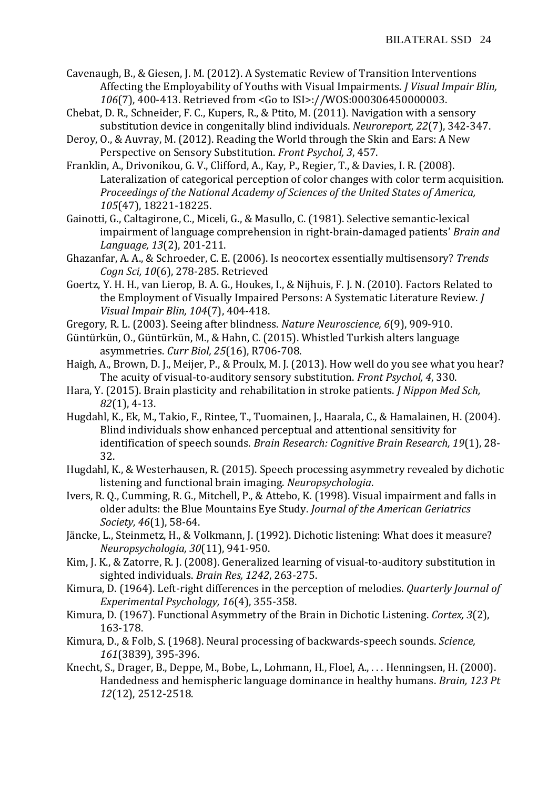- Cavenaugh, B., & Giesen, J. M. (2012). A Systematic Review of Transition Interventions Affecting the Employability of Youths with Visual Impairments. *J Visual Impair Blin, 106*(7), 400-413. Retrieved from <Go to ISI>://WOS:000306450000003.
- Chebat, D. R., Schneider, F. C., Kupers, R., & Ptito, M. (2011). Navigation with a sensory substitution device in congenitally blind individuals. *Neuroreport, 22*(7), 342-347.
- Deroy, O., & Auvray, M. (2012). Reading the World through the Skin and Ears: A New Perspective on Sensory Substitution. *Front Psychol, 3*, 457.
- Franklin, A., Drivonikou, G. V., Clifford, A., Kay, P., Regier, T., & Davies, I. R. (2008). Lateralization of categorical perception of color changes with color term acquisition. *Proceedings of the National Academy of Sciences of the United States of America, 105*(47), 18221-18225.
- Gainotti, G., Caltagirone, C., Miceli, G., & Masullo, C. (1981). Selective semantic-lexical impairment of language comprehension in right-brain-damaged patients' *Brain and Language, 13*(2), 201-211.
- Ghazanfar, A. A., & Schroeder, C. E. (2006). Is neocortex essentially multisensory? *Trends Cogn Sci, 10*(6), 278-285. Retrieved
- Goertz, Y. H. H., van Lierop, B. A. G., Houkes, I., & Nijhuis, F. J. N. (2010). Factors Related to the Employment of Visually Impaired Persons: A Systematic Literature Review. *J Visual Impair Blin, 104*(7), 404-418.
- Gregory, R. L. (2003). Seeing after blindness. *Nature Neuroscience, 6*(9), 909-910.
- Güntürkün, O., Güntürkün, M., & Hahn, C. (2015). Whistled Turkish alters language asymmetries. *Curr Biol, 25*(16), R706-708.
- Haigh, A., Brown, D. J., Meijer, P., & Proulx, M. J. (2013). How well do you see what you hear? The acuity of visual-to-auditory sensory substitution. *Front Psychol, 4*, 330.
- Hara, Y. (2015). Brain plasticity and rehabilitation in stroke patients. *J Nippon Med Sch, 82*(1), 4-13.
- Hugdahl, K., Ek, M., Takio, F., Rintee, T., Tuomainen, J., Haarala, C., & Hamalainen, H. (2004). Blind individuals show enhanced perceptual and attentional sensitivity for identification of speech sounds. *Brain Research: Cognitive Brain Research, 19*(1), 28- 32.
- <span id="page-24-0"></span>Hugdahl, K., & Westerhausen, R. (2015). Speech processing asymmetry revealed by dichotic listening and functional brain imaging. *Neuropsychologia*.
- Ivers, R. Q., Cumming, R. G., Mitchell, P., & Attebo, K. (1998). Visual impairment and falls in older adults: the Blue Mountains Eye Study. *Journal of the American Geriatrics Society, 46*(1), 58-64.
- Jäncke, L., Steinmetz, H., & Volkmann, J. (1992). Dichotic listening: What does it measure? *Neuropsychologia, 30*(11), 941-950.
- Kim, J. K., & Zatorre, R. J. (2008). Generalized learning of visual-to-auditory substitution in sighted individuals. *Brain Res, 1242*, 263-275.
- Kimura, D. (1964). Left-right differences in the perception of melodies. *Quarterly Journal of Experimental Psychology, 16*(4), 355-358.
- Kimura, D. (1967). Functional Asymmetry of the Brain in Dichotic Listening. *Cortex, 3*(2), 163-178.
- Kimura, D., & Folb, S. (1968). Neural processing of backwards-speech sounds. *Science, 161*(3839), 395-396.
- Knecht, S., Drager, B., Deppe, M., Bobe, L., Lohmann, H., Floel, A., . . . Henningsen, H. (2000). Handedness and hemispheric language dominance in healthy humans. *Brain, 123 Pt 12*(12), 2512-2518.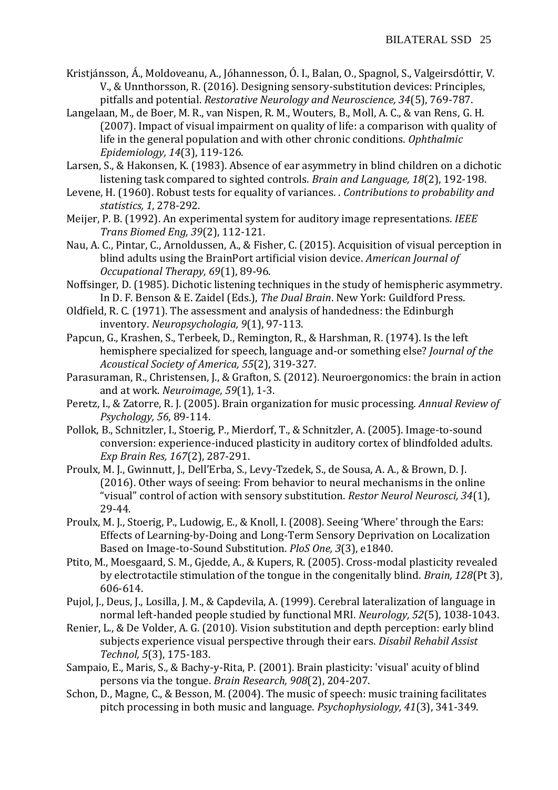- Kristjánsson, Á., Moldoveanu, A., Jóhannesson, Ó. I., Balan, O., Spagnol, S., Valgeirsdóttir, V. V., & Unnthorsson, R. (2016). Designing sensory-substitution devices: Principles, pitfalls and potential. *Restorative Neurology and Neuroscience, 34*(5), 769-787.
- Langelaan, M., de Boer, M. R., van Nispen, R. M., Wouters, B., Moll, A. C., & van Rens, G. H. (2007). Impact of visual impairment on quality of life: a comparison with quality of life in the general population and with other chronic conditions. *Ophthalmic Epidemiology, 14*(3), 119-126.
- Larsen, S., & Hakonsen, K. (1983). Absence of ear asymmetry in blind children on a dichotic listening task compared to sighted controls. *Brain and Language, 18*(2), 192-198.
- Levene, H. (1960). Robust tests for equality of variances. . *Contributions to probability and statistics, 1*, 278-292.
- Meijer, P. B. (1992). An experimental system for auditory image representations. *IEEE Trans Biomed Eng, 39*(2), 112-121.
- Nau, A. C., Pintar, C., Arnoldussen, A., & Fisher, C. (2015). Acquisition of visual perception in blind adults using the BrainPort artificial vision device. *American Journal of Occupational Therapy, 69*(1), 89-96.
- Noffsinger, D. (1985). Dichotic listening techniques in the study of hemispheric asymmetry. In D. F. Benson & E. Zaidel (Eds.), *The Dual Brain*. New York: Guildford Press.
- Oldfield, R. C. (1971). The assessment and analysis of handedness: the Edinburgh inventory. *Neuropsychologia, 9*(1), 97-113.
- Papcun, G., Krashen, S., Terbeek, D., Remington, R., & Harshman, R. (1974). Is the left hemisphere specialized for speech, language and-or something else? *Journal of the Acoustical Society of America, 55*(2), 319-327.
- Parasuraman, R., Christensen, J., & Grafton, S. (2012). Neuroergonomics: the brain in action and at work. *Neuroimage, 59*(1), 1-3.
- Peretz, I., & Zatorre, R. J. (2005). Brain organization for music processing. *Annual Review of Psychology, 56*, 89-114.
- Pollok, B., Schnitzler, I., Stoerig, P., Mierdorf, T., & Schnitzler, A. (2005). Image-to-sound conversion: experience-induced plasticity in auditory cortex of blindfolded adults. *Exp Brain Res, 167*(2), 287-291.
- Proulx, M. J., Gwinnutt, J., Dell'Erba, S., Levy-Tzedek, S., de Sousa, A. A., & Brown, D. J. (2016). Other ways of seeing: From behavior to neural mechanisms in the online "visual" control of action with sensory substitution. *Restor Neurol Neurosci, 34*(1), 29-44.
- Proulx, M. J., Stoerig, P., Ludowig, E., & Knoll, I. (2008). Seeing 'Where' through the Ears: Effects of Learning-by-Doing and Long-Term Sensory Deprivation on Localization Based on Image-to-Sound Substitution. *PloS One, 3*(3), e1840.
- Ptito, M., Moesgaard, S. M., Gjedde, A., & Kupers, R. (2005). Cross-modal plasticity revealed by electrotactile stimulation of the tongue in the congenitally blind. *Brain, 128*(Pt 3), 606-614.
- Pujol, J., Deus, J., Losilla, J. M., & Capdevila, A. (1999). Cerebral lateralization of language in normal left-handed people studied by functional MRI. *Neurology, 52*(5), 1038-1043.
- Renier, L., & De Volder, A. G. (2010). Vision substitution and depth perception: early blind subjects experience visual perspective through their ears. *Disabil Rehabil Assist Technol, 5*(3), 175-183.
- Sampaio, E., Maris, S., & Bachy-y-Rita, P. (2001). Brain plasticity: 'visual' acuity of blind persons via the tongue. *Brain Research, 908*(2), 204-207.
- Schon, D., Magne, C., & Besson, M. (2004). The music of speech: music training facilitates pitch processing in both music and language. *Psychophysiology, 41*(3), 341-349.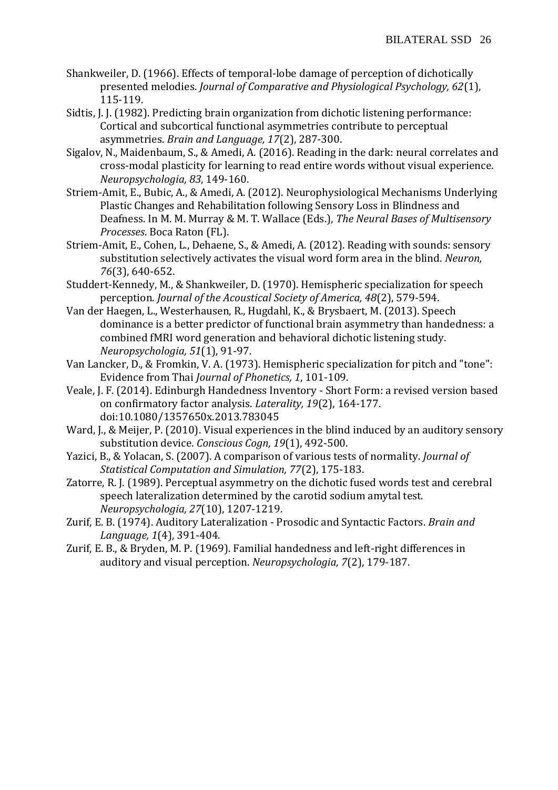- Shankweiler, D. (1966). Effects of temporal-lobe damage of perception of dichotically presented melodies. *Journal of Comparative and Physiological Psychology, 62*(1), 115-119.
- Sidtis, J. J. (1982). Predicting brain organization from dichotic listening performance: Cortical and subcortical functional asymmetries contribute to perceptual asymmetries. *Brain and Language, 17*(2), 287-300.
- Sigalov, N., Maidenbaum, S., & Amedi, A. (2016). Reading in the dark: neural correlates and cross-modal plasticity for learning to read entire words without visual experience. *Neuropsychologia, 83*, 149-160.
- Striem-Amit, E., Bubic, A., & Amedi, A. (2012). Neurophysiological Mechanisms Underlying Plastic Changes and Rehabilitation following Sensory Loss in Blindness and Deafness. In M. M. Murray & M. T. Wallace (Eds.), *The Neural Bases of Multisensory Processes*. Boca Raton (FL).
- Striem-Amit, E., Cohen, L., Dehaene, S., & Amedi, A. (2012). Reading with sounds: sensory substitution selectively activates the visual word form area in the blind. *Neuron, 76*(3), 640-652.
- Studdert-Kennedy, M., & Shankweiler, D. (1970). Hemispheric specialization for speech perception. *Journal of the Acoustical Society of America, 48*(2), 579-594.
- Van der Haegen, L., Westerhausen, R., Hugdahl, K., & Brysbaert, M. (2013). Speech dominance is a better predictor of functional brain asymmetry than handedness: a combined fMRI word generation and behavioral dichotic listening study. *Neuropsychologia, 51*(1), 91-97.
- Van Lancker, D., & Fromkin, V. A. (1973). Hemispheric specialization for pitch and "tone": Evidence from Thai *Journal of Phonetics, 1*, 101-109.
- Veale, J. F. (2014). Edinburgh Handedness Inventory Short Form: a revised version based on confirmatory factor analysis. *Laterality, 19*(2), 164-177. doi:10.1080/1357650x.2013.783045
- Ward, J., & Meijer, P. (2010). Visual experiences in the blind induced by an auditory sensory substitution device. *Conscious Cogn, 19*(1), 492-500.
- Yazici, B., & Yolacan, S. (2007). A comparison of various tests of normality. *Journal of Statistical Computation and Simulation, 77*(2), 175-183.
- Zatorre, R. J. (1989). Perceptual asymmetry on the dichotic fused words test and cerebral speech lateralization determined by the carotid sodium amytal test. *Neuropsychologia, 27*(10), 1207-1219.
- Zurif, E. B. (1974). Auditory Lateralization Prosodic and Syntactic Factors. *Brain and Language, 1*(4), 391-404.
- Zurif, E. B., & Bryden, M. P. (1969). Familial handedness and left-right differences in auditory and visual perception. *Neuropsychologia, 7*(2), 179-187.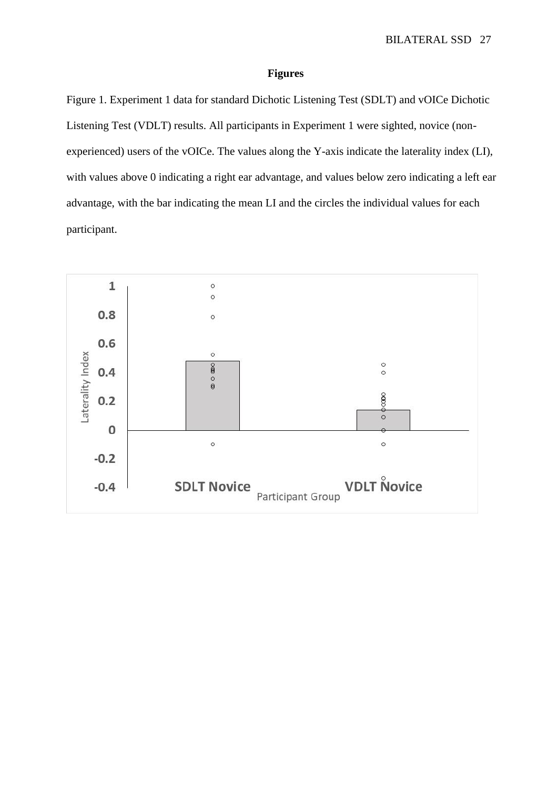#### **Figures**

Figure 1. Experiment 1 data for standard Dichotic Listening Test (SDLT) and vOICe Dichotic Listening Test (VDLT) results. All participants in Experiment 1 were sighted, novice (nonexperienced) users of the vOICe. The values along the Y-axis indicate the laterality index (LI), with values above 0 indicating a right ear advantage, and values below zero indicating a left ear advantage, with the bar indicating the mean LI and the circles the individual values for each participant.

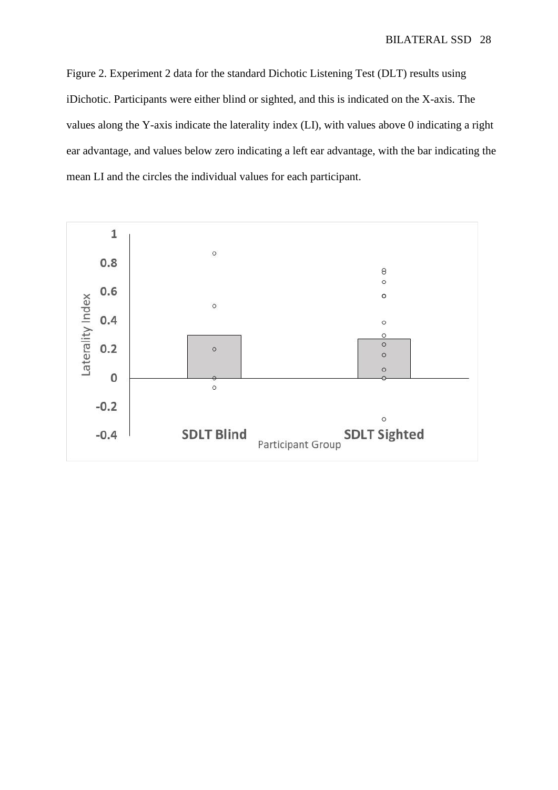Figure 2. Experiment 2 data for the standard Dichotic Listening Test (DLT) results using iDichotic. Participants were either blind or sighted, and this is indicated on the X-axis. The values along the Y-axis indicate the laterality index (LI), with values above 0 indicating a right ear advantage, and values below zero indicating a left ear advantage, with the bar indicating the mean LI and the circles the individual values for each participant.

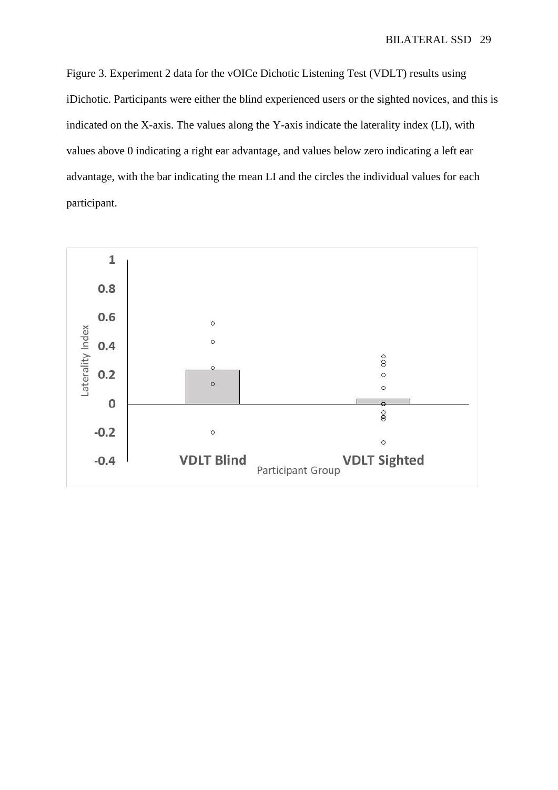Figure 3. Experiment 2 data for the vOICe Dichotic Listening Test (VDLT) results using iDichotic. Participants were either the blind experienced users or the sighted novices, and this is indicated on the X-axis. The values along the Y-axis indicate the laterality index (LI), with values above 0 indicating a right ear advantage, and values below zero indicating a left ear advantage, with the bar indicating the mean LI and the circles the individual values for each participant.

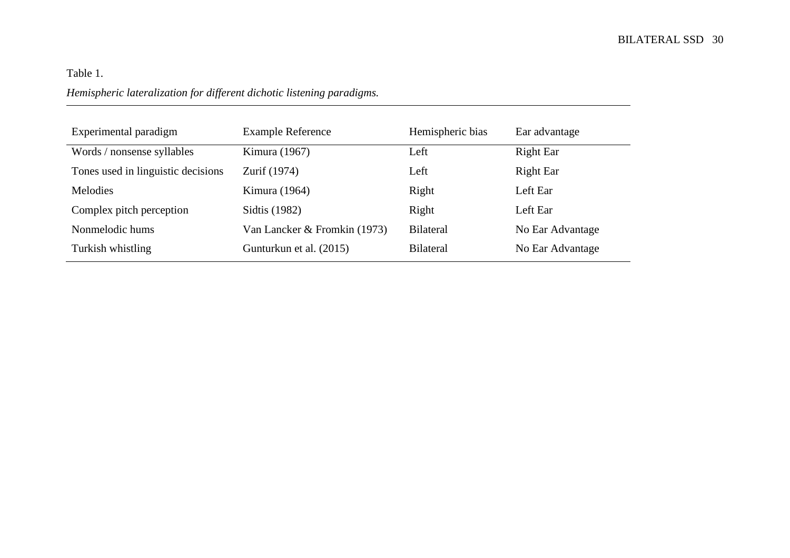# Table 1. *Hemispheric lateralization for different dichotic listening paradigms.*

| Experimental paradigm              | <b>Example Reference</b>     | Hemispheric bias | Ear advantage    |
|------------------------------------|------------------------------|------------------|------------------|
| Words / nonsense syllables         | Kimura (1967)                | Left             | Right Ear        |
| Tones used in linguistic decisions | Zurif (1974)                 | Left             | Right Ear        |
| Melodies                           | Kimura (1964)                | Right            | Left Ear         |
| Complex pitch perception           | Sidtis (1982)                | Right            | Left Ear         |
| Nonmelodic hums                    | Van Lancker & Fromkin (1973) | <b>Bilateral</b> | No Ear Advantage |
| Turkish whistling                  | Gunturkun et al. (2015)      | <b>Bilateral</b> | No Ear Advantage |